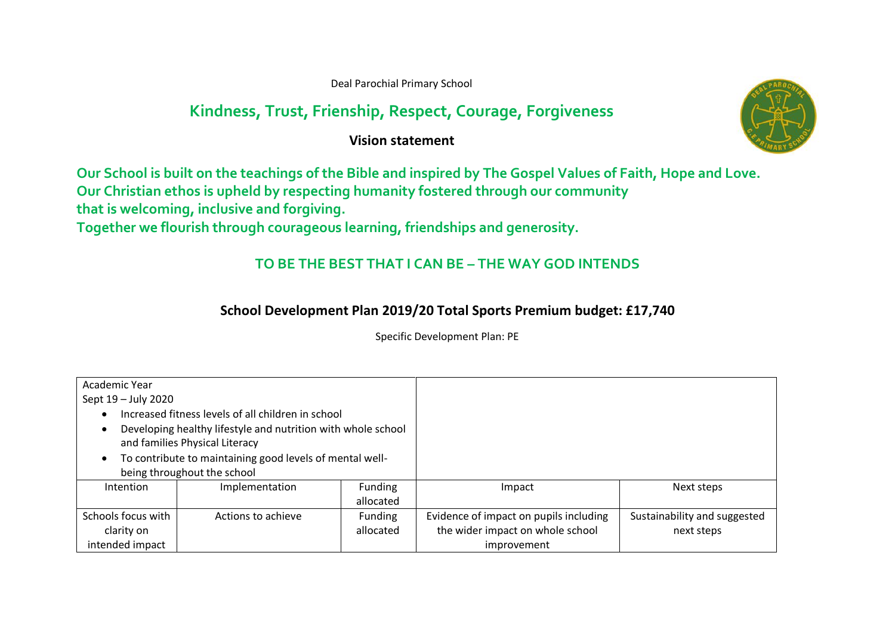Deal Parochial Primary School

## **Kindness, Trust, Frienship, Respect, Courage, Forgiveness**

**Vision statement** 



**Our School is built on the teachings of the Bible and inspired by The Gospel Values of Faith, Hope and Love. Our Christian ethos is upheld by respecting humanity fostered through our community**

**that is welcoming, inclusive and forgiving.**

**Together we flourish through courageous learning, friendships and generosity.**

## **TO BE THE BEST THAT I CAN BE – THE WAY GOD INTENDS**

## **School Development Plan 2019/20 Total Sports Premium budget: £17,740**

Specific Development Plan: PE

| Academic Year                                            |                                                              |           |                                        |                              |
|----------------------------------------------------------|--------------------------------------------------------------|-----------|----------------------------------------|------------------------------|
| Sept 19 - July 2020                                      |                                                              |           |                                        |                              |
|                                                          | Increased fitness levels of all children in school           |           |                                        |                              |
|                                                          | Developing healthy lifestyle and nutrition with whole school |           |                                        |                              |
| and families Physical Literacy                           |                                                              |           |                                        |                              |
| To contribute to maintaining good levels of mental well- |                                                              |           |                                        |                              |
| being throughout the school                              |                                                              |           |                                        |                              |
| Intention                                                | Implementation                                               | Funding   | Impact                                 | Next steps                   |
|                                                          |                                                              | allocated |                                        |                              |
| Schools focus with                                       | Actions to achieve                                           | Funding   | Evidence of impact on pupils including | Sustainability and suggested |
| clarity on                                               |                                                              | allocated | the wider impact on whole school       | next steps                   |
| intended impact                                          |                                                              |           | improvement                            |                              |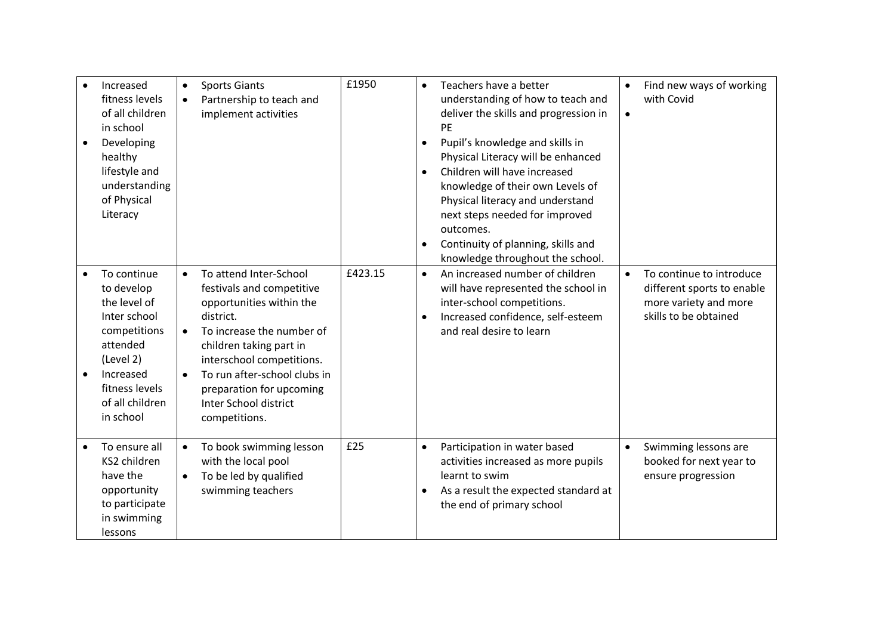| Increased<br>fitness levels<br>of all children<br>in school<br>Developing<br>healthy<br>lifestyle and<br>understanding<br>of Physical<br>Literacy<br>To continue<br>to develop<br>the level of<br>Inter school<br>competitions<br>attended<br>(Level 2)<br>Increased<br>fitness levels<br>of all children<br>in school | $\bullet$<br>$\bullet$<br>$\bullet$<br>$\bullet$<br>$\bullet$ | <b>Sports Giants</b><br>Partnership to teach and<br>implement activities<br>To attend Inter-School<br>festivals and competitive<br>opportunities within the<br>district.<br>To increase the number of<br>children taking part in<br>interschool competitions.<br>To run after-school clubs in<br>preparation for upcoming<br>Inter School district<br>competitions. | £1950<br>£423.15 | $\bullet$<br>$\bullet$<br>$\bullet$<br>$\bullet$ | Teachers have a better<br>understanding of how to teach and<br>deliver the skills and progression in<br>PE<br>Pupil's knowledge and skills in<br>Physical Literacy will be enhanced<br>Children will have increased<br>knowledge of their own Levels of<br>Physical literacy and understand<br>next steps needed for improved<br>outcomes.<br>Continuity of planning, skills and<br>knowledge throughout the school.<br>An increased number of children<br>will have represented the school in<br>inter-school competitions.<br>Increased confidence, self-esteem<br>and real desire to learn | $\bullet$<br>$\bullet$<br>$\bullet$ | Find new ways of working<br>with Covid<br>To continue to introduce<br>different sports to enable<br>more variety and more<br>skills to be obtained |
|------------------------------------------------------------------------------------------------------------------------------------------------------------------------------------------------------------------------------------------------------------------------------------------------------------------------|---------------------------------------------------------------|---------------------------------------------------------------------------------------------------------------------------------------------------------------------------------------------------------------------------------------------------------------------------------------------------------------------------------------------------------------------|------------------|--------------------------------------------------|-----------------------------------------------------------------------------------------------------------------------------------------------------------------------------------------------------------------------------------------------------------------------------------------------------------------------------------------------------------------------------------------------------------------------------------------------------------------------------------------------------------------------------------------------------------------------------------------------|-------------------------------------|----------------------------------------------------------------------------------------------------------------------------------------------------|
| To ensure all<br>KS2 children<br>have the<br>opportunity<br>to participate<br>in swimming<br>lessons                                                                                                                                                                                                                   | $\bullet$<br>$\bullet$                                        | To book swimming lesson<br>with the local pool<br>To be led by qualified<br>swimming teachers                                                                                                                                                                                                                                                                       | £25              | $\bullet$                                        | Participation in water based<br>activities increased as more pupils<br>learnt to swim<br>As a result the expected standard at<br>the end of primary school                                                                                                                                                                                                                                                                                                                                                                                                                                    | $\bullet$                           | Swimming lessons are<br>booked for next year to<br>ensure progression                                                                              |